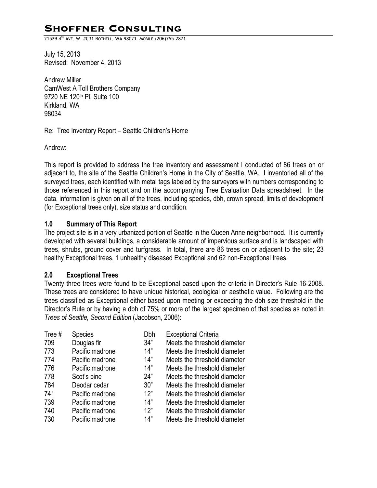# **Shoffner Consulting**

21529 4TH AVE. W. #C31 BOTHELL, WA 98021 MOBILE:(206)755-2871

July 15, 2013 Revised: November 4, 2013

Andrew Miller CamWest A Toll Brothers Company 9720 NE 120th Pl. Suite 100 Kirkland, WA 98034

Re: Tree Inventory Report – Seattle Children's Home

Andrew:

This report is provided to address the tree inventory and assessment I conducted of 86 trees on or adjacent to, the site of the Seattle Children's Home in the City of Seattle, WA. I inventoried all of the surveyed trees, each identified with metal tags labeled by the surveyors with numbers corresponding to those referenced in this report and on the accompanying Tree Evaluation Data spreadsheet. In the data, information is given on all of the trees, including species, dbh, crown spread, limits of development (for Exceptional trees only), size status and condition.

### **1.0 Summary of This Report**

The project site is in a very urbanized portion of Seattle in the Queen Anne neighborhood. It is currently developed with several buildings, a considerable amount of impervious surface and is landscaped with trees, shrubs, ground cover and turfgrass. In total, there are 86 trees on or adjacent to the site; 23 healthy Exceptional trees, 1 unhealthy diseased Exceptional and 62 non-Exceptional trees.

#### **2.0 Exceptional Trees**

Twenty three trees were found to be Exceptional based upon the criteria in Director's Rule 16-2008. These trees are considered to have unique historical, ecological or aesthetic value. Following are the trees classified as Exceptional either based upon meeting or exceeding the dbh size threshold in the Director's Rule or by having a dbh of 75% or more of the largest specimen of that species as noted in *Trees of Seattle, Second Edition* (Jacobson, 2006):

| Tree # | Species         | Dbh | <b>Exceptional Criteria</b>  |
|--------|-----------------|-----|------------------------------|
| 709    | Douglas fir     | 34" | Meets the threshold diameter |
| 773    | Pacific madrone | 14" | Meets the threshold diameter |
| 774    | Pacific madrone | 14" | Meets the threshold diameter |
| 776    | Pacific madrone | 14" | Meets the threshold diameter |
| 778    | Scot's pine     | 24" | Meets the threshold diameter |
| 784    | Deodar cedar    | 30" | Meets the threshold diameter |
| 741    | Pacific madrone | 12" | Meets the threshold diameter |
| 739    | Pacific madrone | 14" | Meets the threshold diameter |
| 740    | Pacific madrone | 12" | Meets the threshold diameter |
| 730    | Pacific madrone | 14" | Meets the threshold diameter |
|        |                 |     |                              |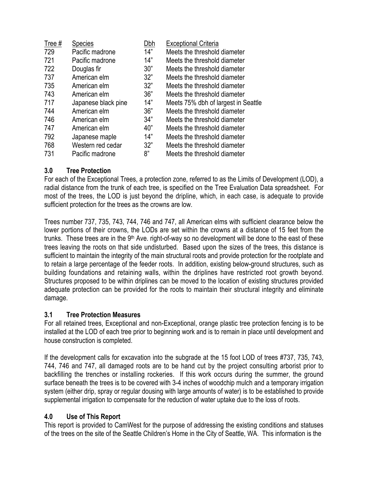| Tree # | <b>Species</b>      | Dbh | <b>Exceptional Criteria</b>         |
|--------|---------------------|-----|-------------------------------------|
| 729    | Pacific madrone     | 14" | Meets the threshold diameter        |
| 721    | Pacific madrone     | 14" | Meets the threshold diameter        |
| 722    | Douglas fir         | 30" | Meets the threshold diameter        |
| 737    | American elm        | 32" | Meets the threshold diameter        |
| 735    | American elm        | 32" | Meets the threshold diameter        |
| 743    | American elm        | 36" | Meets the threshold diameter        |
| 717    | Japanese black pine | 14" | Meets 75% dbh of largest in Seattle |
| 744    | American elm        | 36" | Meets the threshold diameter        |
| 746    | American elm        | 34" | Meets the threshold diameter        |
| 747    | American elm        | 40" | Meets the threshold diameter        |
| 792    | Japanese maple      | 14" | Meets the threshold diameter        |
| 768    | Western red cedar   | 32" | Meets the threshold diameter        |
| 731    | Pacific madrone     | 8"  | Meets the threshold diameter        |

## **3.0 Tree Protection**

For each of the Exceptional Trees, a protection zone, referred to as the Limits of Development (LOD), a radial distance from the trunk of each tree, is specified on the Tree Evaluation Data spreadsheet. For most of the trees, the LOD is just beyond the dripline, which, in each case, is adequate to provide sufficient protection for the trees as the crowns are low.

Trees number 737, 735, 743, 744, 746 and 747, all American elms with sufficient clearance below the lower portions of their crowns, the LODs are set within the crowns at a distance of 15 feet from the trunks. These trees are in the 9<sup>th</sup> Ave. right-of-way so no development will be done to the east of these trees leaving the roots on that side undisturbed. Based upon the sizes of the trees, this distance is sufficient to maintain the integrity of the main structural roots and provide protection for the rootplate and to retain a large percentage of the feeder roots. In addition, existing below-ground structures, such as building foundations and retaining walls, within the driplines have restricted root growth beyond. Structures proposed to be within driplines can be moved to the location of existing structures provided adequate protection can be provided for the roots to maintain their structural integrity and eliminate damage.

#### **3.1 Tree Protection Measures**

For all retained trees, Exceptional and non-Exceptional, orange plastic tree protection fencing is to be installed at the LOD of each tree prior to beginning work and is to remain in place until development and house construction is completed.

If the development calls for excavation into the subgrade at the 15 foot LOD of trees #737, 735, 743, 744, 746 and 747, all damaged roots are to be hand cut by the project consulting arborist prior to backfilling the trenches or installing rockeries. If this work occurs during the summer, the ground surface beneath the trees is to be covered with 3-4 inches of woodchip mulch and a temporary irrigation system (either drip, spray or regular dousing with large amounts of water) is to be established to provide supplemental irrigation to compensate for the reduction of water uptake due to the loss of roots.

## **4.0 Use of This Report**

This report is provided to CamWest for the purpose of addressing the existing conditions and statuses of the trees on the site of the Seattle Children's Home in the City of Seattle, WA. This information is the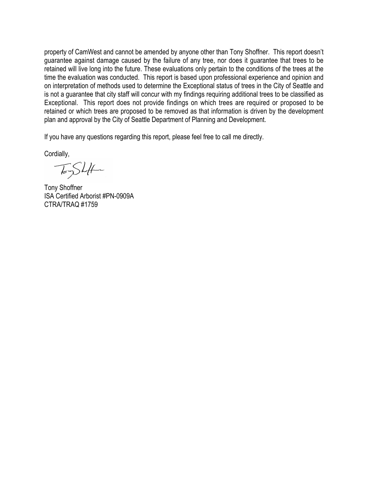property of CamWest and cannot be amended by anyone other than Tony Shoffner. This report doesn't guarantee against damage caused by the failure of any tree, nor does it guarantee that trees to be retained will live long into the future. These evaluations only pertain to the conditions of the trees at the time the evaluation was conducted. This report is based upon professional experience and opinion and on interpretation of methods used to determine the Exceptional status of trees in the City of Seattle and is not a guarantee that city staff will concur with my findings requiring additional trees to be classified as Exceptional. This report does not provide findings on which trees are required or proposed to be retained or which trees are proposed to be removed as that information is driven by the development plan and approval by the City of Seattle Department of Planning and Development.

If you have any questions regarding this report, please feel free to call me directly.

Cordially,

ToyShift

Tony Shoffner ISA Certified Arborist #PN-0909A CTRA/TRAQ #1759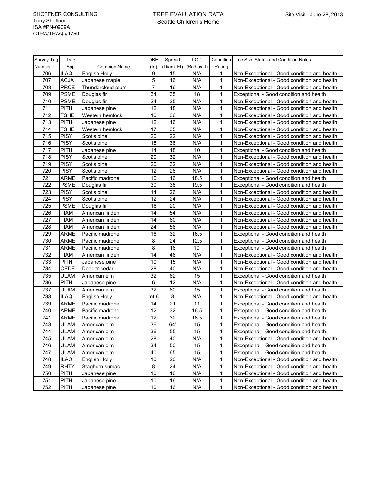| Survey Tag | Tree        |                      | DBH            | Spread     | LOD         |              | Condition Tree Size Status and Condition Notes |
|------------|-------------|----------------------|----------------|------------|-------------|--------------|------------------------------------------------|
| Number     | Spp         | Common Name          | (ln)           | (Diam. Ft) | (Radius ft) | Rating       |                                                |
| 706        | <b>ILAQ</b> | <b>English Holly</b> | 9              | 15         | N/A         | 1            | Non-Exceptional - Good condition and health    |
| 707        | <b>ACJA</b> | Japanese maple       | $\sqrt{5}$     | 16         | N/A         | 1            | Non-Exceptional - Good condition and health    |
| 708        | <b>PRCE</b> | Thundercloud plum    | $\overline{7}$ | 16         | N/A         | 1            | Non-Exceptional - Good condition and health    |
| 709        | <b>PSME</b> | Douglas fir          | 34             | 35         | 18          | 1            | Exceptional - Good condition and health        |
| 710        | <b>PSME</b> | Douglas fir          | 24             | 35         | N/A         | 1            | Non-Exceptional - Good condition and health    |
| 711        | <b>PITH</b> | Japanese pine        | 12             | 18         | N/A         | 1            | Non-Exceptional - Good condition and health    |
| 712        | <b>TSHE</b> | Western hemlock      | 10             | 36         | N/A         | 1            | Non-Exceptional - Good condition and health    |
| 713        | <b>PITH</b> | Japanese pine        | 12             | 16         | N/A         | 1            | Non-Exceptional - Good condition and health    |
| 714        | <b>TSHE</b> | Western hemlock      | 17             | 35         | N/A         | 1            | Non-Exceptional - Good condition and health    |
| 715        | <b>PISY</b> | Scot's pine          | 20             | 22         | N/A         | 1            | Non-Exceptional - Good condition and health    |
| 716        | <b>PISY</b> | Scot's pine          | 18             | 36         | N/A         | 1            | Non-Exceptional - Good condition and health    |
| 717        | <b>PITH</b> | Japanese pine        | 14             | 18         | 10          | 1            | Exceptional - Good condition and health        |
| 718        | <b>PISY</b> | Scot's pine          | 20             | 32         | N/A         | 1            | Non-Exceptional - Good condition and health    |
| 719        | <b>PISY</b> | Scot's pine          | 20             | 32         | N/A         | 1            | Non-Exceptional - Good condition and health    |
| 720        | <b>PISY</b> | Scot's pine          | 12             | 26         | N/A         | 1            | Non-Exceptional - Good condition and health    |
| 721        | <b>ARME</b> | Pacific madrone      | 10             | 16         | 18.5        | 1            | Exceptional - Good condition and health        |
| 722        | <b>PSME</b> | Douglas fir          | 30             | 38         | 19.5        | 1            | Exceptional - Good condition and health        |
| 723        | <b>PISY</b> | Scot's pine          | 14             | 26         | N/A         | 1            | Non-Exceptional - Good condition and health    |
| 724        | <b>PISY</b> | Scot's pine          | 12             | 24         | N/A         | 1            | Non-Exceptional - Good condition and health    |
| 725        | <b>PSME</b> | Douglas fir          | 16             | 20         | N/A         | 1            | Non-Exceptional - Good condition and health    |
| 726        | <b>TIAM</b> | American linden      | 14             | 54         | N/A         | 1            | Non-Exceptional - Good condition and health    |
| 727        | <b>TIAM</b> | American linden      | 14             | 60         | N/A         | 1            | Non-Exceptional - Good condition and health    |
| 728        | <b>TIAM</b> | American linden      | 24             | 56         | N/A         | 1            | Non-Exceptional - Good condition and health    |
| 729        | <b>ARME</b> | Pacific madrone      | 16             | 32         | 16.5        | 1            | Exceptional - Good condition and health        |
| 730        | <b>ARME</b> | Pacific madrone      | 8              | 24         | 12.5        | 1            | Exceptional - Good condition and health        |
| 731        | <b>ARME</b> | Pacific madrone      | 8              | 16         | 10'         | 1            | Exceptional - Good condition and health        |
| 732        | TIAM        | American linden      | 14             | 46         | N/A         | 1            | Non-Exceptional - Good condition and health    |
| 733        | <b>PITH</b> | Japanese pine        | 10             | 15         | N/A         | 1            | Non-Exceptional - Good condition and health    |
| 734        | <b>CEDE</b> | Deodar cedar         | 28             | 40         | N/A         | 1            | Non-Exceptional - Good condition and health    |
| 735        | <b>ULAM</b> | American elm         | 32             | 62         | 15          | 1            | Exceptional - Good condition and health        |
| 736        | <b>PITH</b> | Japanese pine        | 6              | 12         | N/A         | 1            | Non-Exceptional - Good condition and health    |
| 737        | <b>ULAM</b> | American elm         | 32             | 60         | 15          | 1            | Exceptional - Good condition and health        |
| 738        | <b>ILAQ</b> | <b>English Holly</b> | mt 6           | 8          | N/A         | 1            | Non-Exceptional - Good condition and health    |
| 739        | <b>ARME</b> | Pacific madrone      | 14             | 21         | 11          | 1            | Exceptional - Good condition and health        |
| 740        | <b>ARME</b> | Pacific madrone      | 12             | 32         | 16.5        | 1            | Exceptional - Good condition and health        |
| 741        | <b>ARME</b> | Pacific madrone      | 12             | 32         | 16.5        | 1            | Exceptional - Good condition and health        |
| 743        | <b>ULAM</b> | American elm         | 36             | 64'        | 15          | 1            | Exceptional - Good condition and health        |
| 744        | <b>ULAM</b> | American elm         | 36             | 55         | 15          | $\mathbf{1}$ | Exceptional - Good condition and health        |
| 745        | <b>ULAM</b> | American elm         | 28             | 40         | N/A         | 1            | Non-Exceptional - Good condition and health    |
| 746        | <b>ULAM</b> | American elm         | 34             | 50         | 15          | 1            | Exceptional - Good condition and health        |
| 747        | <b>ULAM</b> | American elm         | 40             | 65         | 15          | 1            | Exceptional - Good condition and health        |
| 748        | <b>ILAQ</b> | English Holly        | 10             | 20         | N/A         | 1            | Non-Exceptional - Good condition and health    |
| 749        | <b>RHTY</b> | Staghorn sumac       | 8              | 24         | N/A         | 1            | Non-Exceptional - Good condition and health    |
| 750        | <b>PITH</b> | Japanese pine        | 10             | 16         | N/A         | 1            | Non-Exceptional - Good condition and health    |
| 751        | <b>PITH</b> | Japanese pine        | $10$           | 16         | N/A         | 1            | Non-Exceptional - Good condition and health    |
| 752        | <b>PITH</b> | Japanese pine        | 10             | 16         | N/A         | 1            | Non-Exceptional - Good condition and health    |
|            |             |                      |                |            |             |              |                                                |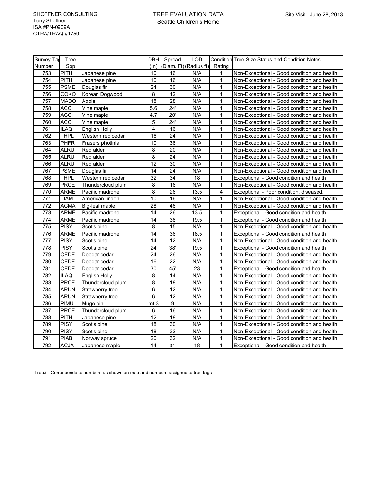| Survey Ta | Tree        |                      |                 | DBH Spread      | <b>LOD</b>             |                | <b>Condition Tree Size Status and Condition Notes</b> |
|-----------|-------------|----------------------|-----------------|-----------------|------------------------|----------------|-------------------------------------------------------|
| Number    | Spp         |                      | (ln)            |                 | (Diam. Ft) (Radius ft) | Rating         |                                                       |
| 753       | <b>PITH</b> | Japanese pine        | 10              | 16              | N/A                    | 1              | Non-Exceptional - Good condition and health           |
| 754       | <b>PITH</b> | Japanese pine        | 10              | 16              | N/A                    | $\mathbf{1}$   | Non-Exceptional - Good condition and health           |
| 755       | <b>PSME</b> | Douglas fir          | 24              | 30              | N/A                    | $\mathbf{1}$   | Non-Exceptional - Good condition and health           |
| 756       | COKO        | Korean Dogwood       | 8               | 12              | N/A                    | 1              | Non-Exceptional - Good condition and health           |
| 757       | <b>MADO</b> | Apple                | 18              | 28              | N/A                    | $\mathbf{1}$   | Non-Exceptional - Good condition and health           |
| 758       | <b>ACCI</b> | Vine maple           | 5.6             | 24'             | N/A                    | $\mathbf{1}$   | Non-Exceptional - Good condition and health           |
| 759       | <b>ACCI</b> | Vine maple           | 4.7             | 20'             | N/A                    | $\mathbf{1}$   | Non-Exceptional - Good condition and health           |
| 760       | <b>ACCI</b> | Vine maple           | 5               | 24'             | N/A                    | $\mathbf 1$    | Non-Exceptional - Good condition and health           |
| 761       | <b>ILAQ</b> | <b>English Holly</b> | 4               | 16              | N/A                    | $\mathbf{1}$   | Non-Exceptional - Good condition and health           |
| 762       | <b>THPL</b> | Western red cedar    | 16              | 24              | N/A                    | $\mathbf 1$    | Non-Exceptional - Good condition and health           |
| 763       | <b>PHFR</b> | Frasers photinia     | 10              | 36              | N/A                    | $\mathbf{1}$   | Non-Exceptional - Good condition and health           |
| 764       | <b>ALRU</b> | Red alder            | $\overline{8}$  | 20              | N/A                    | $\mathbf{1}$   | Non-Exceptional - Good condition and health           |
| 765       | <b>ALRU</b> | Red alder            | 8               | 24              | N/A                    | $\mathbf{1}$   | Non-Exceptional - Good condition and health           |
| 766       | <b>ALRU</b> | Red alder            | 12              | 30              | N/A                    | $\mathbf 1$    | Non-Exceptional - Good condition and health           |
| 767       | <b>PSME</b> | Douglas fir          | 14              | 24              | N/A                    | 1              | Non-Exceptional - Good condition and health           |
| 768       | <b>THPL</b> | Western red cedar    | $\overline{32}$ | 34              | 18                     | $\mathbf{1}$   | Exceptional - Good condition and health               |
| 769       | <b>PRCE</b> | Thundercloud plum    | 8               | 16              | N/A                    | $\mathbf{1}$   | Non-Exceptional - Good condition and health           |
| 770       | <b>ARME</b> | Pacific madrone      | 8               | 26              | 13.5                   | $\overline{4}$ | Exceptional - Poor condition, diseased.               |
| 771       | <b>TIAM</b> | American linden      | 10              | 16              | N/A                    | $\mathbf{1}$   | Non-Exceptional - Good condition and health           |
| 772       | <b>ACMA</b> | Big-leaf maple       | 28              | 48              | N/A                    | $\mathbf 1$    | Non-Exceptional - Good condition and health           |
| 773       | ARME        | Pacific madrone      | 14              | 26              | 13.5                   | 1              | Exceptional - Good condition and health               |
| 774       | ARME        | Pacific madrone      | 14              | 38              | 19.5                   | $\mathbf{1}$   | Exceptional - Good condition and health               |
| 775       | <b>PISY</b> | Scot's pine          | 8               | 15              | N/A                    | $\mathbf{1}$   | Non-Exceptional - Good condition and health           |
| 776       | <b>ARME</b> | Pacific madrone      | 14              | 36              | 18.5                   | $\mathbf{1}$   | Exceptional - Good condition and health               |
| 777       | <b>PISY</b> | Scot's pine          | 14              | 12              | N/A                    | $\mathbf 1$    | Non-Exceptional - Good condition and health           |
| 778       | <b>PISY</b> | Scot's pine          | 24              | 38'             | 19.5                   | $\mathbf{1}$   | Exceptional - Good condition and health               |
| 779       | <b>CEDE</b> | Deodar cedar         | 24              | 26              | N/A                    | $\mathbf{1}$   | Non-Exceptional - Good condition and health           |
| 780       | <b>CEDE</b> | Deodar cedar         | 16              | 22              | N/A                    | 1              | Non-Exceptional - Good condition and health           |
| 781       | CEDE        | Deodar cedar         | 30              | 45'             | 23                     | $\mathbf{1}$   | Exceptional - Good condition and health               |
| 782       | <b>ILAQ</b> | <b>English Holly</b> | 8               | 14              | N/A                    | 1              | Non-Exceptional - Good condition and health           |
| 783       | <b>PRCE</b> | Thundercloud plum    | 8               | 18              | N/A                    | $\mathbf{1}$   | Non-Exceptional - Good condition and health           |
| 784       | ARUN        | Strawberry tree      | 6               | 12              | N/A                    | 1              | Non-Exceptional - Good condition and health           |
| 785       | <b>ARUN</b> | Strawberry tree      | 6               | 12              | N/A                    | $\mathbf{1}$   | Non-Exceptional - Good condition and health           |
| 786       | PIMU        | Mugo pin             | mt 3            | 9               | N/A                    | 1              | Non-Exceptional - Good condition and health           |
| 787       | <b>PRCE</b> | Thundercloud plum    | 6               | 16              | N/A                    | 1              | Non-Exceptional - Good condition and health           |
| 788       | <b>PITH</b> | Japanese pine        | $\overline{12}$ | $\overline{18}$ | N/A                    | $\mathbf{1}$   | Non-Exceptional - Good condition and health           |
| 789       | <b>PISY</b> | Scot's pine          | 18              | 30              | N/A                    | $\mathbf{1}$   | Non-Exceptional - Good condition and health           |
| 790       | <b>PISY</b> | Scot's pine          | 18              | 32              | N/A                    | $\mathbf{1}$   | Non-Exceptional - Good condition and health           |
| 791       | <b>PIAB</b> | Norway spruce        | 20              | 32              | N/A                    | 1              | Non-Exceptional - Good condition and health           |
| 792       | <b>ACJA</b> | Japanese maple       | 14              | 34'             | 18                     | $\mathbf{1}$   | Exceptional - Good condition and health               |

Tree# - Corresponds to numbers as shown on map and numbers assigned to tree tags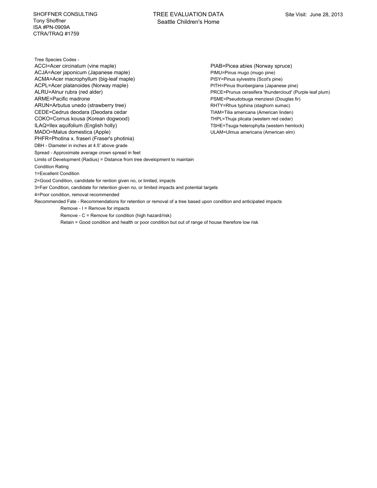SHOFFNER CONSULTING Tony Shoffner ISA #PN-0909A CTRA/TRAQ #1759

Tree Species Codes - ACCI=Acer circinatum (vine maple) PIAB=Picea abies (Norway spruce) ACJA=Acer japonicum (Japanese maple) PIMU=Pinus mugo (mugo pine) ACMA=Acer macrophyllum (big-leaf maple) PISY=Pinus sylvestris (Scot's pine) ACPL=Acer platanoides (Norway maple) PITH=Pinus thunbergiana (Japanese pine) ALRU=Alnur rubra (red alder) PRCE=Prunus cerasifera 'thundercloud' (Purple leaf plum) ARME=Pacific madrone **PSME=Pseudotsuga menziesii (Douglas fir**) ARUN=Arbutus unedo (strawberry tree) RHTY=Rhus typhina (staghorn sumac) CEDE=Cedrus deodara (Deodara cedar Tilla americana (American linden) COKO=Cornus kousa (Korean dogwood) THPL=Thuja plicata (western red cedar) ILAQ=Ilex aquifolium (English holly) TSHE=Tsuga heterophylla (western hemlock) MADO=Malus domestica (Apple) ULAM=Ulmus americana (American elm) PHFR=Photina x. fraseri (Fraser's photinia) DBH - Diameter in inches at 4.5' above grade Spread - Approximate average crown spread in feet Limits of Development (Radius) = Distance from tree development to maintain Condition Rating 1=Excellent Condition 2=Good Condition, candidate for rention given no, or limited, impacts 3=Fair Condition, candidate for retention given no, or limited impacts and potential targets 4=Poor condition, removal recommended

Recommended Fate - Recommendations for retention or removal of a tree based upon condition and anticipated impacts Remove - I = Remove for impacts Remove - C = Remove for condition (high hazard/risk) Retain = Good condition and health or poor condition but out of range of house therefore low risk